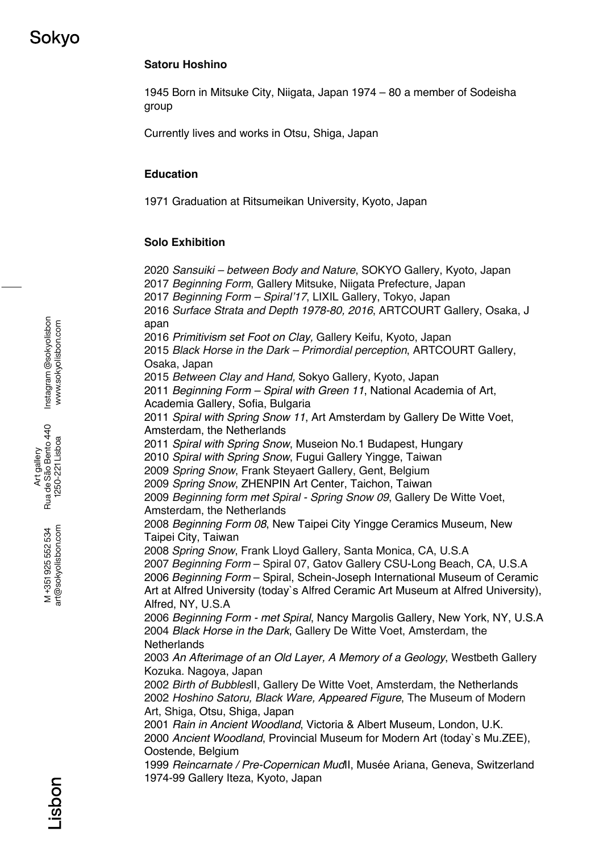# **Satoru Hoshino**

1945 Born in Mitsuke City, Niigata, Japan 1974 – 80 a member of Sodeisha group

Currently lives and works in Otsu, Shiga, Japan

### **Education**

1971 Graduation at Ritsumeikan University, Kyoto, Japan

### **Solo Exhibition**

*Sansuiki – between Body and Nature*, SOKYO Gallery, Kyoto, Japan *Beginning Form*, Gallery Mitsuke, Niigata Prefecture, Japan *Beginning Form – Spiral'17*, LIXIL Gallery, Tokyo, Japan *Surface Strata and Depth 1978-80, 2016*, ARTCOURT Gallery, Osaka, J apan *Primitivism set Foot on Clay,* Gallery Keifu, Kyoto, Japan *Black Horse in the Dark – Primordial perception*, ARTCOURT Gallery, Osaka, Japan *Between Clay and Hand,* Sokyo Gallery, Kyoto, Japan *Beginning Form – Spiral with Green 11*, National Academia of Art, Academia Gallery, Sofia, Bulgaria *Spiral with Spring Snow 11*, Art Amsterdam by Gallery De Witte Voet, Amsterdam, the Netherlands *Spiral with Spring Snow*, Museion No.1 Budapest, Hungary *Spiral with Spring Snow*, Fugui Gallery Yingge, Taiwan *Spring Snow*, Frank Steyaert Gallery, Gent, Belgium *Spring Snow*, ZHENPIN Art Center, Taichon, Taiwan *Beginning form met Spiral - Spring Snow 09*, Gallery De Witte Voet, Amsterdam, the Netherlands *Beginning Form 08*, New Taipei City Yingge Ceramics Museum, New Taipei City, Taiwan *Spring Snow*, Frank Lloyd Gallery, Santa Monica, CA, U.S.A *Beginning Form* – Spiral 07, Gatov Gallery CSU-Long Beach, CA, U.S.A *Beginning Form* – Spiral, Schein-Joseph International Museum of Ceramic Art at Alfred University (today`s Alfred Ceramic Art Museum at Alfred University), Alfred, NY, U.S.A *Beginning Form - met Spiral*, Nancy Margolis Gallery, New York, NY, U.S.A *Black Horse in the Dark*, Gallery De Witte Voet, Amsterdam, the **Netherlands** *An Afterimage of an Old Layer, A Memory of a Geology*, Westbeth Gallery Kozuka. Nagoya, Japan *Birth of Bubbles*II, Gallery De Witte Voet, Amsterdam, the Netherlands *Hoshino Satoru, Black Ware, Appeared Figure*, The Museum of Modern Art, Shiga, Otsu, Shiga, Japan *Rain in Ancient Woodland*, Victoria & Albert Museum, London, U.K. *Ancient Woodland*, Provincial Museum for Modern Art (today`s Mu.ZEE), Oostende, Belgium *Reincarnate / Pre-Copernican Mud*II, Musée Ariana, Geneva, Switzerland 1974-99 Gallery Iteza, Kyoto, Japan

Instagram @sokyolisbon Instagram @sokyolisbon www.sokyolisbon.com www.sokyolisbon.com

art@sokyolisbon.com art@sokyolisbon.com M+351925552534 M +351 925 552 534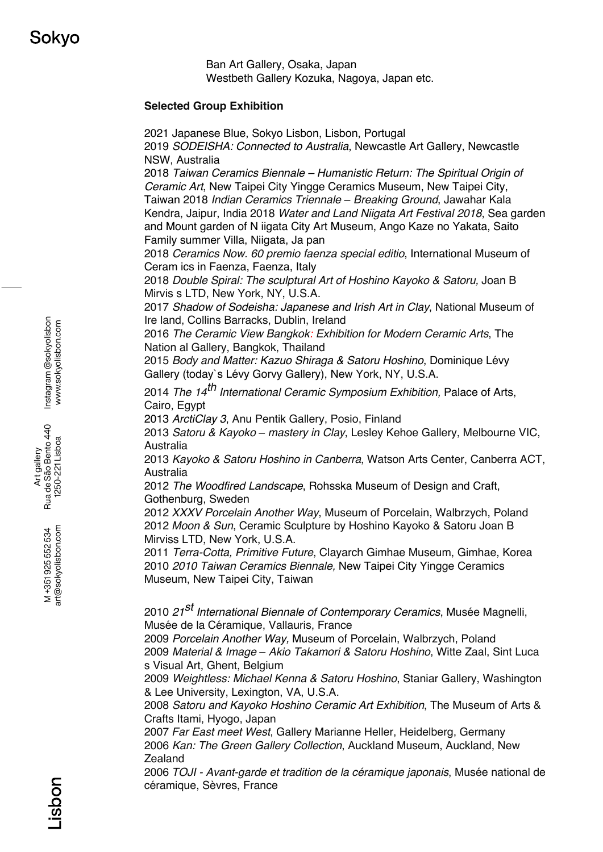Ban Art Gallery, Osaka, Japan Westbeth Gallery Kozuka, Nagoya, Japan etc.

#### **Selected Group Exhibition**

2021 Japanese Blue, Sokyo Lisbon, Lisbon, Portugal 2019 *SODEISHA: Connected to Australia*, Newcastle Art Gallery, Newcastle NSW, Australia

2018 *Taiwan Ceramics Biennale – Humanistic Return: The Spiritual Origin of Ceramic Art*, New Taipei City Yingge Ceramics Museum, New Taipei City, Taiwan 2018 *Indian Ceramics Triennale* ‒ *Breaking Ground*, Jawahar Kala Kendra, Jaipur, India 2018 *Water and Land Niigata Art Festival 2018*, Sea garden and Mount garden of N iigata City Art Museum, Ango Kaze no Yakata, Saito Family summer Villa, Niigata, Ja pan

2018 *Ceramics Now. 60 premio faenza special editio*, International Museum of Ceram ics in Faenza, Faenza, Italy

2018 *Double Spiral: The sculptural Art of Hoshino Kayoko & Satoru,* Joan B Mirvis s LTD, New York, NY, U.S.A.

2017 *Shadow of Sodeisha: Japanese and Irish Art in Clay*, National Museum of Ire land, Collins Barracks, Dublin, Ireland

2016 *The Ceramic View Bangkok: Exhibition for Modern Ceramic Arts*, The Nation al Gallery, Bangkok, Thailand

2015 *Body and Matter: Kazuo Shiraga & Satoru Hoshino*, Dominique Lévy Gallery (today`s Lévy Gorvy Gallery), New York, NY, U.S.A.

<sup>2014</sup>*The 14th International Ceramic Symposium Exhibition,* Palace of Arts, Cairo, Egypt

2013 *ArctiClay 3*, Anu Pentik Gallery, Posio, Finland

2013 *Satoru & Kayoko ‒ mastery in Clay*, Lesley Kehoe Gallery, Melbourne VIC, Australia

2013 *Kayoko & Satoru Hoshino in Canberra*, Watson Arts Center, Canberra ACT, Australia

2012 *The Woodfired Landscape*, Rohsska Museum of Design and Craft, Gothenburg, Sweden

2012 *XXXV Porcelain Another Way*, Museum of Porcelain, Walbrzych, Poland 2012 *Moon & Sun*, Ceramic Sculpture by Hoshino Kayoko & Satoru Joan B Mirviss LTD, New York, U.S.A.

2011 *Terra-Cotta, Primitive Future*, Clayarch Gimhae Museum, Gimhae, Korea 2010 *2010 Taiwan Ceramics Biennale,* New Taipei City Yingge Ceramics Museum, New Taipei City, Taiwan

<sup>2010</sup>*21st International Biennale of Contemporary Ceramics*, Musée Magnelli, Musée de la Céramique, Vallauris, France

2009 *Porcelain Another Way,* Museum of Porcelain, Walbrzych, Poland 2009 *Material & Image* ‒ *Akio Takamori & Satoru Hoshino*, Witte Zaal, Sint Luca s Visual Art, Ghent, Belgium

2009 *Weightless: Michael Kenna & Satoru Hoshino*, Staniar Gallery, Washington & Lee University, Lexington, VA, U.S.A.

2008 *Satoru and Kayoko Hoshino Ceramic Art Exhibition*, The Museum of Arts & Crafts Itami, Hyogo, Japan

2007 *Far East meet West*, Gallery Marianne Heller, Heidelberg, Germany 2006 *Kan: The Green Gallery Collection*, Auckland Museum, Auckland, New **Zealand** 

2006 *TOJI - Avant-garde et tradition de la céramique japonais*, Musée national de céramique, Sèvres, France

Instagram @sokyolisbon Instagram @sokyolisbon www.sokyolisbon.com www.sokyolisbon.com

art@sokyolisbon.com art@sokyolisbon.com M+351925552534 M +351 925 552 534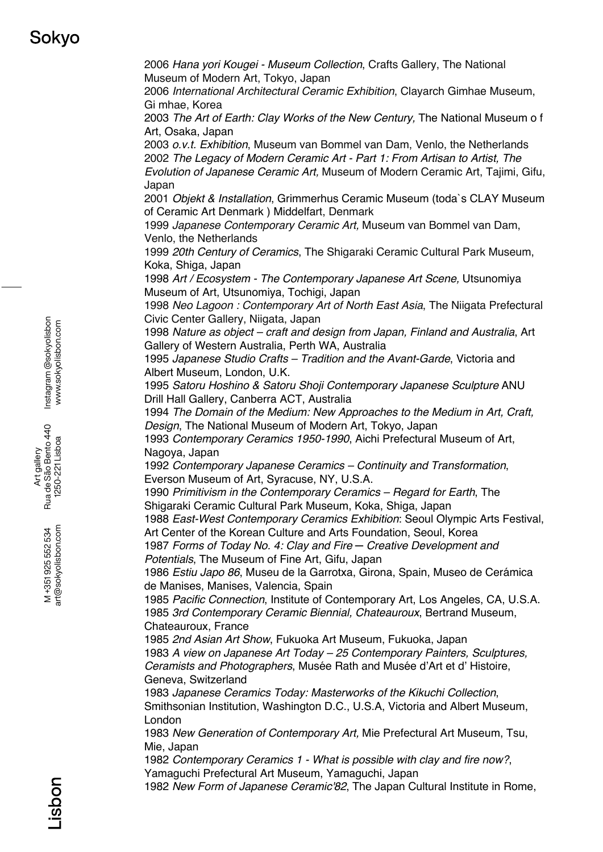# Sokvo

2006 *Hana yori Kougei - Museum Collection*, Crafts Gallery, The National Museum of Modern Art, Tokyo, Japan

2006 *International Architectural Ceramic Exhibition*, Clayarch Gimhae Museum, Gi mhae, Korea

2003 *The Art of Earth: Clay Works of the New Century,* The National Museum o f Art, Osaka, Japan

2003 *o.v.t. Exhibition*, Museum van Bommel van Dam, Venlo, the Netherlands 2002 *The Legacy of Modern Ceramic Art - Part 1: From Artisan to Artist, The Evolution of Japanese Ceramic Art,* Museum of Modern Ceramic Art, Tajimi, Gifu, Japan

2001 *Objekt & Installation*, Grimmerhus Ceramic Museum (toda`s CLAY Museum of Ceramic Art Denmark ) Middelfart, Denmark

1999 *Japanese Contemporary Ceramic Art,* Museum van Bommel van Dam, Venlo, the Netherlands

1999 *20th Century of Ceramics*, The Shigaraki Ceramic Cultural Park Museum, Koka, Shiga, Japan

1998 *Art / Ecosystem - The Contemporary Japanese Art Scene,* Utsunomiya Museum of Art, Utsunomiya, Tochigi, Japan

1998 *Neo Lagoon : Contemporary Art of North East Asia*, The Niigata Prefectural Civic Center Gallery, Niigata, Japan

1998 *Nature as object – craft and design from Japan, Finland and Australia*, Art Gallery of Western Australia, Perth WA, Australia

1995 *Japanese Studio Crafts – Tradition and the Avant-Garde*, Victoria and Albert Museum, London, U.K.

1995 *Satoru Hoshino & Satoru Shoji Contemporary Japanese Sculpture* ANU Drill Hall Gallery, Canberra ACT, Australia

1994 *The Domain of the Medium: New Approaches to the Medium in Art, Craft, Design*, The National Museum of Modern Art, Tokyo, Japan

1993 *Contemporary Ceramics 1950-1990*, Aichi Prefectural Museum of Art, Nagoya, Japan

1992 *Contemporary Japanese Ceramics – Continuity and Transformation*, Everson Museum of Art, Syracuse, NY, U.S.A.

1990 *Primitivism in the Contemporary Ceramics – Regard for Earth*, The Shigaraki Ceramic Cultural Park Museum, Koka, Shiga, Japan

1988 *East-West Contemporary Ceramics Exhibition*: Seoul Olympic Arts Festival, Art Center of the Korean Culture and Arts Foundation, Seoul, Korea

1987 *Forms of Today No. 4: Clay and Fire ─ Creative Development and Potentials*, The Museum of Fine Art, Gifu, Japan

1986 *Estiu Japo 86*, Museu de la Garrotxa, Girona, Spain, Museo de Cerámica de Manises, Manises, Valencia, Spain

1985 *Pacific Connection*, Institute of Contemporary Art, Los Angeles, CA, U.S.A. 1985 *3rd Contemporary Ceramic Biennial, Chateauroux*, Bertrand Museum, Chateauroux, France

1985 *2nd Asian Art Show*, Fukuoka Art Museum, Fukuoka, Japan 1983 *A view on Japanese Art Today – 25 Contemporary Painters, Sculptures, Ceramists and Photographers, Musée Rath and Musée d'Art et d'Histoire,* Geneva, Switzerland

1983 *Japanese Ceramics Today: Masterworks of the Kikuchi Collection*, Smithsonian Institution, Washington D.C., U.S.A, Victoria and Albert Museum, London

1983 *New Generation of Contemporary Art,* Mie Prefectural Art Museum, Tsu, Mie, Japan

1982 *Contemporary Ceramics 1 - What is possible with clay and fire now?*, Yamaguchi Prefectural Art Museum, Yamaguchi, Japan

1982 *New Form of Japanese Ceramic'82*, The Japan Cultural Institute in Rome,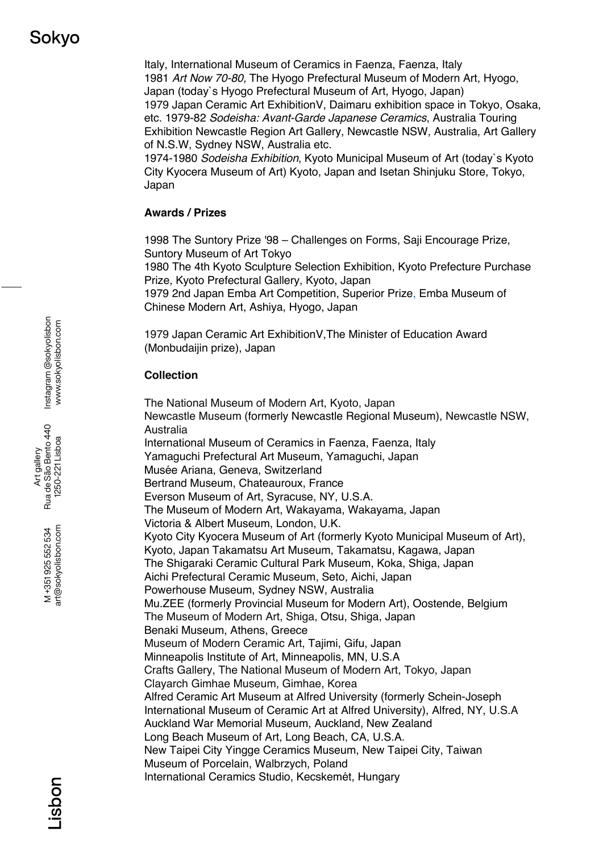Italy, International Museum of Ceramics in Faenza, Faenza, Italy 1981 *Art Now 70-80,* The Hyogo Prefectural Museum of Modern Art, Hyogo, Japan (today`s Hyogo Prefectural Museum of Art, Hyogo, Japan) 1979 Japan Ceramic Art ExhibitionV, Daimaru exhibition space in Tokyo, Osaka, etc. 1979-82 *Sodeisha: Avant-Garde Japanese Ceramics*, Australia Touring Exhibition Newcastle Region Art Gallery, Newcastle NSW, Australia, Art Gallery of N.S.W, Sydney NSW, Australia etc.

1974-1980 *Sodeisha Exhibition*, Kyoto Municipal Museum of Art (today`s Kyoto City Kyocera Museum of Art) Kyoto, Japan and Isetan Shinjuku Store, Tokyo, Japan

### **Awards / Prizes**

1998 The Suntory Prize '98 – Challenges on Forms, Saji Encourage Prize, Suntory Museum of Art Tokyo

1980 The 4th Kyoto Sculpture Selection Exhibition, Kyoto Prefecture Purchase Prize, Kyoto Prefectural Gallery, Kyoto, Japan

1979 2nd Japan Emba Art Competition, Superior Prize, Emba Museum of Chinese Modern Art, Ashiya, Hyogo, Japan

1979 Japan Ceramic Art ExhibitionV,The Minister of Education Award (Monbudaijin prize), Japan

# **Collection**

The National Museum of Modern Art, Kyoto, Japan Newcastle Museum (formerly Newcastle Regional Museum), Newcastle NSW, Australia International Museum of Ceramics in Faenza, Faenza, Italy Yamaguchi Prefectural Art Museum, Yamaguchi, Japan Musée Ariana, Geneva, Switzerland Bertrand Museum, Chateauroux, France Everson Museum of Art, Syracuse, NY, U.S.A. The Museum of Modern Art, Wakayama, Wakayama, Japan Victoria & Albert Museum, London, U.K. Kyoto City Kyocera Museum of Art (formerly Kyoto Municipal Museum of Art), Kyoto, Japan Takamatsu Art Museum, Takamatsu, Kagawa, Japan The Shigaraki Ceramic Cultural Park Museum, Koka, Shiga, Japan Aichi Prefectural Ceramic Museum, Seto, Aichi, Japan Powerhouse Museum, Sydney NSW, Australia Mu.ZEE (formerly Provincial Museum for Modern Art), Oostende, Belgium The Museum of Modern Art, Shiga, Otsu, Shiga, Japan Benaki Museum, Athens, Greece Museum of Modern Ceramic Art, Tajimi, Gifu, Japan Minneapolis Institute of Art, Minneapolis, MN, U.S.A Crafts Gallery, The National Museum of Modern Art, Tokyo, Japan Clayarch Gimhae Museum, Gimhae, Korea Alfred Ceramic Art Museum at Alfred University (formerly Schein-Joseph International Museum of Ceramic Art at Alfred University), Alfred, NY, U.S.A Auckland War Memorial Museum, Auckland, New Zealand Long Beach Museum of Art, Long Beach, CA, U.S.A. New Taipei City Yingge Ceramics Museum, New Taipei City, Taiwan Museum of Porcelain, Walbrzych, Poland International Ceramics Studio, Kecskemét, Hungary

art@sokyolisbon.com art@sokyolisbon.com M+351925552534 M +351 925 552 534